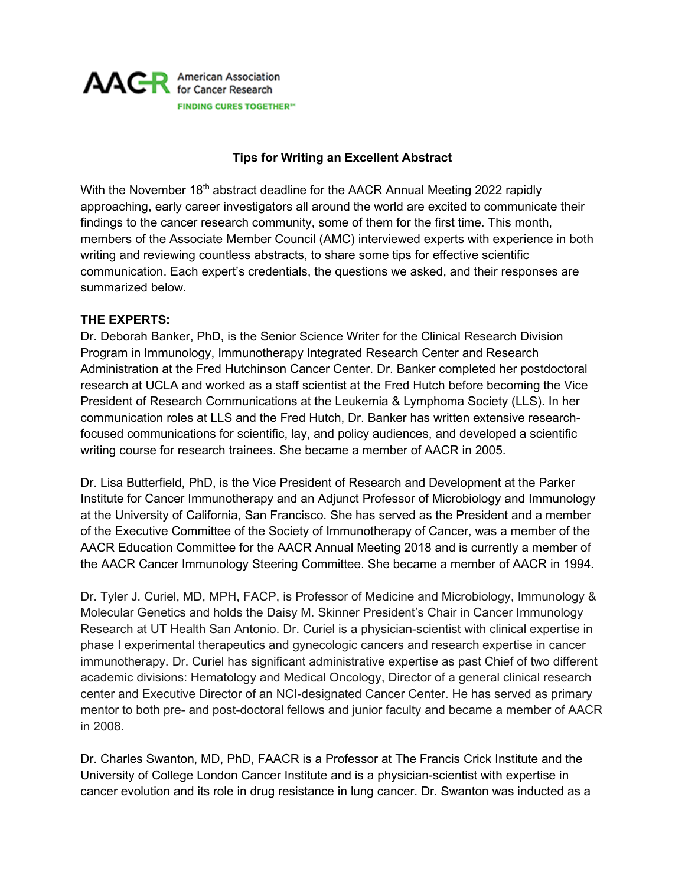

#### **Tips for Writing an Excellent Abstract**

With the November  $18<sup>th</sup>$  abstract deadline for the AACR Annual Meeting 2022 rapidly approaching, early career investigators all around the world are excited to communicate their findings to the cancer research community, some of them for the first time. This month, members of the Associate Member Council (AMC) interviewed experts with experience in both writing and reviewing countless abstracts, to share some tips for effective scientific communication. Each expert's credentials, the questions we asked, and their responses are summarized below.

#### **THE EXPERTS:**

Dr. Deborah Banker, PhD, is the Senior Science Writer for the Clinical Research Division Program in Immunology, Immunotherapy Integrated Research Center and Research Administration at the Fred Hutchinson Cancer Center. Dr. Banker completed her postdoctoral research at UCLA and worked as a staff scientist at the Fred Hutch before becoming the Vice President of Research Communications at the Leukemia & Lymphoma Society (LLS). In her communication roles at LLS and the Fred Hutch, Dr. Banker has written extensive researchfocused communications for scientific, lay, and policy audiences, and developed a scientific writing course for research trainees. She became a member of AACR in 2005.

Dr. Lisa Butterfield, PhD, is the Vice President of Research and Development at the Parker Institute for Cancer Immunotherapy and an Adjunct Professor of Microbiology and Immunology at the University of California, San Francisco. She has served as the President and a member of the Executive Committee of the Society of Immunotherapy of Cancer, was a member of the AACR Education Committee for the AACR Annual Meeting 2018 and is currently a member of the AACR Cancer Immunology Steering Committee. She became a member of AACR in 1994.

Dr. Tyler J. Curiel, MD, MPH, FACP, is Professor of Medicine and Microbiology, Immunology & Molecular Genetics and holds the Daisy M. Skinner President's Chair in Cancer Immunology Research at UT Health San Antonio. Dr. Curiel is a physician-scientist with clinical expertise in phase I experimental therapeutics and gynecologic cancers and research expertise in cancer immunotherapy. Dr. Curiel has significant administrative expertise as past Chief of two different academic divisions: Hematology and Medical Oncology, Director of a general clinical research center and Executive Director of an NCI-designated Cancer Center. He has served as primary mentor to both pre- and post-doctoral fellows and junior faculty and became a member of AACR in 2008.

Dr. Charles Swanton, MD, PhD, FAACR is a Professor at The Francis Crick Institute and the University of College London Cancer Institute and is a physician-scientist with expertise in cancer evolution and its role in drug resistance in lung cancer. Dr. Swanton was inducted as a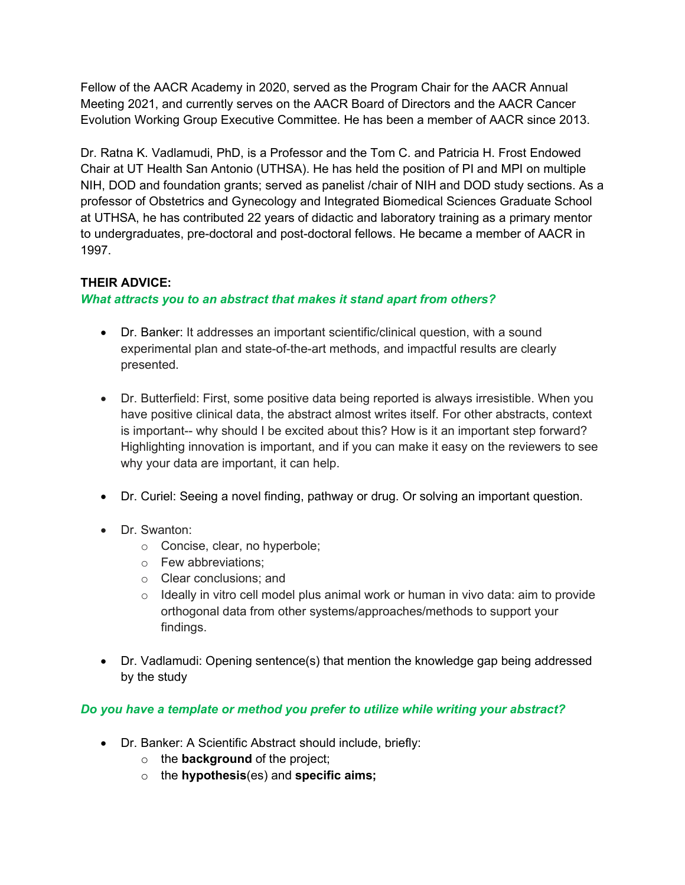Fellow of the AACR Academy in 2020, served as the Program Chair for the AACR Annual Meeting 2021, and currently serves on the AACR Board of Directors and the AACR Cancer Evolution Working Group Executive Committee. He has been a member of AACR since 2013.

Dr. Ratna K. Vadlamudi, PhD, is a Professor and the Tom C. and Patricia H. Frost Endowed Chair at UT Health San Antonio (UTHSA). He has held the position of PI and MPI on multiple NIH, DOD and foundation grants; served as panelist /chair of NIH and DOD study sections. As a professor of Obstetrics and Gynecology and Integrated Biomedical Sciences Graduate School at UTHSA, he has contributed 22 years of didactic and laboratory training as a primary mentor to undergraduates, pre-doctoral and post-doctoral fellows. He became a member of AACR in 1997.

## **THEIR ADVICE:**

## *What attracts you to an abstract that makes it stand apart from others?*

- Dr. Banker: It addresses an important scientific/clinical question, with a sound experimental plan and state-of-the-art methods, and impactful results are clearly presented.
- Dr. Butterfield: First, some positive data being reported is always irresistible. When you have positive clinical data, the abstract almost writes itself. For other abstracts, context is important-- why should I be excited about this? How is it an important step forward? Highlighting innovation is important, and if you can make it easy on the reviewers to see why your data are important, it can help.
- Dr. Curiel: Seeing a novel finding, pathway or drug. Or solving an important question.
- Dr. Swanton:
	- o Concise, clear, no hyperbole;
	- o Few abbreviations;
	- o Clear conclusions; and
	- $\circ$  Ideally in vitro cell model plus animal work or human in vivo data: aim to provide orthogonal data from other systems/approaches/methods to support your findings.
- Dr. Vadlamudi: Opening sentence(s) that mention the knowledge gap being addressed by the study

# *Do you have a template or method you prefer to utilize while writing your abstract?*

- Dr. Banker: A Scientific Abstract should include, briefly:
	- o the **background** of the project;
	- o the **hypothesis**(es) and **specific aims;**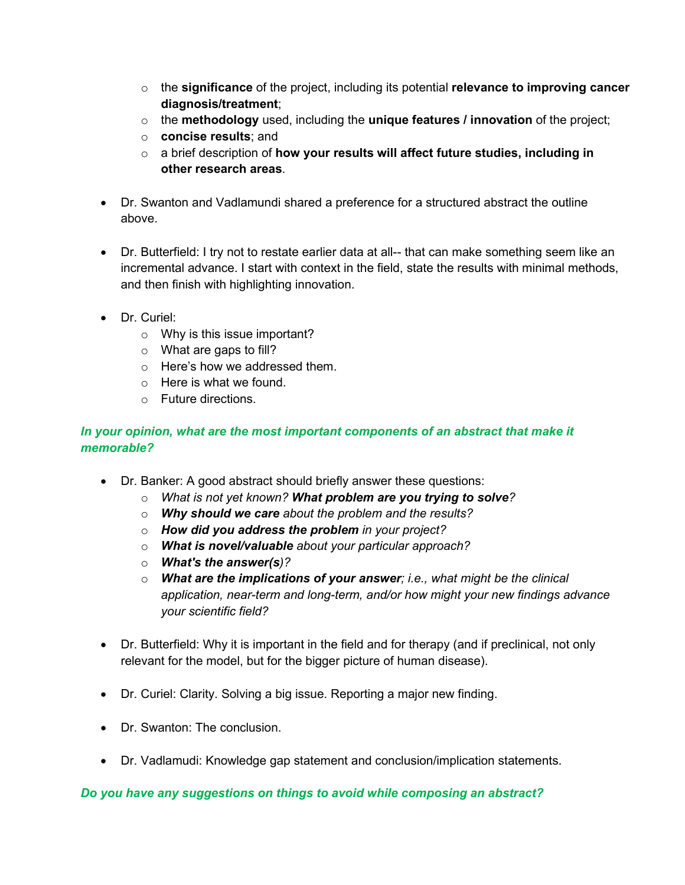- o the **significance** of the project, including its potential **relevance to improving cancer diagnosis/treatment**;
- o the **methodology** used, including the **unique features / innovation** of the project;
- o **concise results**; and
- o a brief description of **how your results will affect future studies, including in other research areas**.
- Dr. Swanton and Vadlamundi shared a preference for a structured abstract the outline above.
- Dr. Butterfield: I try not to restate earlier data at all-- that can make something seem like an incremental advance. I start with context in the field, state the results with minimal methods, and then finish with highlighting innovation.
- Dr. Curiel:
	- o Why is this issue important?
	- $\circ$  What are gaps to fill?
	- o Here's how we addressed them.
	- o Here is what we found.
	- o Future directions.

## In your opinion, what are the most important components of an abstract that make it *memorable?*

- Dr. Banker: A good abstract should briefly answer these questions:
	- o *What is not yet known? What problem are you trying to solve?*
	- o *Why should we care about the problem and the results?*
	- o *How did you address the problem in your project?*
	- o *What is novel/valuable about your particular approach?*
	- o *What's the answer(s)?*
	- o *What are the implications of your answer; i.e., what might be the clinical application, near-term and long-term, and/or how might your new findings advance your scientific field?*
- Dr. Butterfield: Why it is important in the field and for therapy (and if preclinical, not only relevant for the model, but for the bigger picture of human disease).
- Dr. Curiel: Clarity. Solving a big issue. Reporting a major new finding.
- Dr. Swanton: The conclusion.
- Dr. Vadlamudi: Knowledge gap statement and conclusion/implication statements.

#### *Do you have any suggestions on things to avoid while composing an abstract?*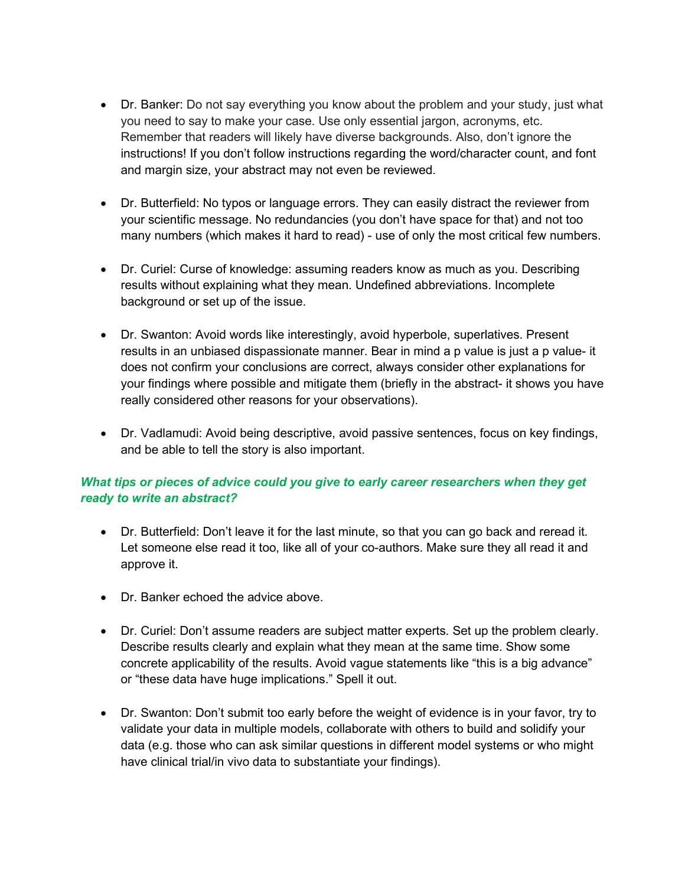- Dr. Banker: Do not say everything you know about the problem and your study, just what you need to say to make your case. Use only essential jargon, acronyms, etc. Remember that readers will likely have diverse backgrounds. Also, don't ignore the instructions! If you don't follow instructions regarding the word/character count, and font and margin size, your abstract may not even be reviewed.
- Dr. Butterfield: No typos or language errors. They can easily distract the reviewer from your scientific message. No redundancies (you don't have space for that) and not too many numbers (which makes it hard to read) - use of only the most critical few numbers.
- Dr. Curiel: Curse of knowledge: assuming readers know as much as you. Describing results without explaining what they mean. Undefined abbreviations. Incomplete background or set up of the issue.
- Dr. Swanton: Avoid words like interestingly, avoid hyperbole, superlatives. Present results in an unbiased dispassionate manner. Bear in mind a p value is just a p value- it does not confirm your conclusions are correct, always consider other explanations for your findings where possible and mitigate them (briefly in the abstract- it shows you have really considered other reasons for your observations).
- Dr. Vadlamudi: Avoid being descriptive, avoid passive sentences, focus on key findings, and be able to tell the story is also important.

## *What tips or pieces of advice could you give to early career researchers when they get ready to write an abstract?*

- Dr. Butterfield: Don't leave it for the last minute, so that you can go back and reread it. Let someone else read it too, like all of your co-authors. Make sure they all read it and approve it.
- Dr. Banker echoed the advice above.
- Dr. Curiel: Don't assume readers are subject matter experts. Set up the problem clearly. Describe results clearly and explain what they mean at the same time. Show some concrete applicability of the results. Avoid vague statements like "this is a big advance" or "these data have huge implications." Spell it out.
- Dr. Swanton: Don't submit too early before the weight of evidence is in your favor, try to validate your data in multiple models, collaborate with others to build and solidify your data (e.g. those who can ask similar questions in different model systems or who might have clinical trial/in vivo data to substantiate your findings).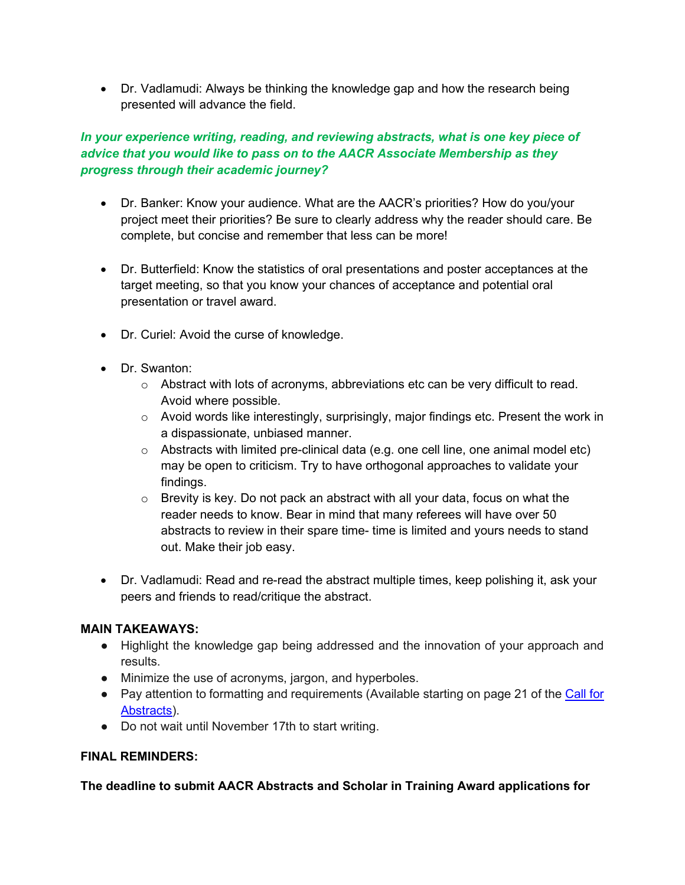• Dr. Vadlamudi: Always be thinking the knowledge gap and how the research being presented will advance the field.

## *In your experience writing, reading, and reviewing abstracts, what is one key piece of advice that you would like to pass on to the AACR Associate Membership as they progress through their academic journey?*

- Dr. Banker: Know your audience. What are the AACR's priorities? How do you/your project meet their priorities? Be sure to clearly address why the reader should care. Be complete, but concise and remember that less can be more!
- Dr. Butterfield: Know the statistics of oral presentations and poster acceptances at the target meeting, so that you know your chances of acceptance and potential oral presentation or travel award.
- Dr. Curiel: Avoid the curse of knowledge.
- Dr. Swanton:
	- o Abstract with lots of acronyms, abbreviations etc can be very difficult to read. Avoid where possible.
	- $\circ$  Avoid words like interestingly, surprisingly, major findings etc. Present the work in a dispassionate, unbiased manner.
	- $\circ$  Abstracts with limited pre-clinical data (e.g. one cell line, one animal model etc) may be open to criticism. Try to have orthogonal approaches to validate your findings.
	- $\circ$  Brevity is key. Do not pack an abstract with all your data, focus on what the reader needs to know. Bear in mind that many referees will have over 50 abstracts to review in their spare time- time is limited and yours needs to stand out. Make their job easy.
- Dr. Vadlamudi: Read and re-read the abstract multiple times, keep polishing it, ask your peers and friends to read/critique the abstract.

### **MAIN TAKEAWAYS:**

- Highlight the knowledge gap being addressed and the innovation of your approach and results.
- Minimize the use of acronyms, jargon, and hyperboles.
- Pay attention to formatting and requirements (Available starting on page 21 of the Call for [Abstracts\)](https://www.aacr.org/wp-content/uploads/2021/09/AACR_CFA_2022.pdf?utm_source=salesforce-marketing-cloud&utm_medium=email&utm_campaign=AM22+-+CFA&utm_term=AM22+CFA+-+Button).
- Do not wait until November 17th to start writing.

### **FINAL REMINDERS:**

### **The deadline to submit AACR Abstracts and Scholar in Training Award applications for**